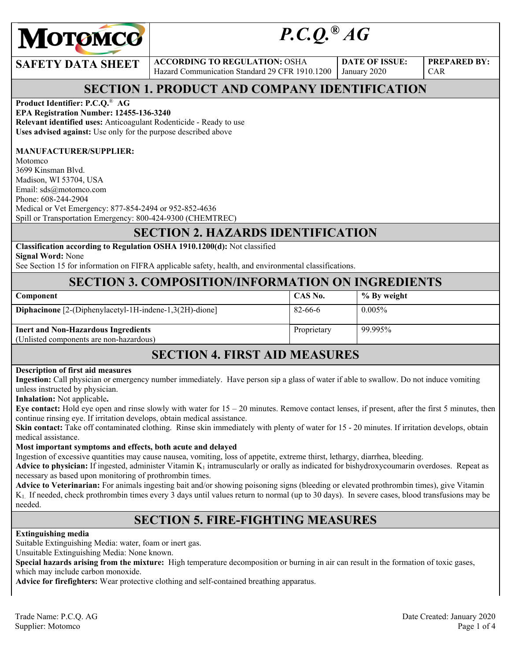

# *P.C.Q.® AG*

#### **SAFETY DATA SHEET** ACCORDING TO REGULATION: OSHA

Hazard Communication Standard 29 CFR 1910.1200

**DATE OF ISSUE:**  January 2020

**PREPARED BY:**  CAR

# **SECTION 1. PRODUCT AND COMPANY IDENTIFICATION**

#### **Product Identifier: P.C.Q.**® **AG**

**EPA Registration Number: 12455-136-3240 Relevant identified uses:** Anticoagulant Rodenticide - Ready to use **Uses advised against:** Use only for the purpose described above

#### **MANUFACTURER/SUPPLIER:**

Motomco 3699 Kinsman Blvd. Madison, WI 53704, USA Email: sds@motomco.com Phone: 608-244-2904 Medical or Vet Emergency: 877-854-2494 or 952-852-4636 Spill or Transportation Emergency: 800-424-9300 (CHEMTREC)

### **SECTION 2. HAZARDS IDENTIFICATION**

#### **Classification according to Regulation OSHA 1910.1200(d):** Not classified

**Signal Word:** None

See Section 15 for information on FIFRA applicable safety, health, and environmental classifications.

#### **SECTION 3. COMPOSITION/INFORMATION ON INGREDIENTS**

| <b>Component</b>                                                                      | CAS No.     | % By weight |
|---------------------------------------------------------------------------------------|-------------|-------------|
| Diphacinone [2-(Diphenylacetyl-1H-indene-1,3(2H)-dione]                               | 82-66-6     | $0.005\%$   |
| <b>Inert and Non-Hazardous Ingredients</b><br>(Unlisted components are non-hazardous) | Proprietary | 99.995%     |

### **SECTION 4. FIRST AID MEASURES**

#### **Description of first aid measures**

**Ingestion:** Call physician or emergency number immediately. Have person sip a glass of water if able to swallow. Do not induce vomiting unless instructed by physician.

**Inhalation:** Not applicable**.** 

**Eye contact:** Hold eye open and rinse slowly with water for 15 – 20 minutes. Remove contact lenses, if present, after the first 5 minutes, then continue rinsing eye. If irritation develops, obtain medical assistance.

**Skin contact:** Take off contaminated clothing. Rinse skin immediately with plenty of water for 15 - 20 minutes. If irritation develops, obtain medical assistance.

#### **Most important symptoms and effects, both acute and delayed**

Ingestion of excessive quantities may cause nausea, vomiting, loss of appetite, extreme thirst, lethargy, diarrhea, bleeding.

**Advice to physician:** If ingested, administer Vitamin  $K_1$  intramuscularly or orally as indicated for bishydroxycoumarin overdoses. Repeat as necessary as based upon monitoring of prothrombin times.

**Advice to Veterinarian:** For animals ingesting bait and/or showing poisoning signs (bleeding or elevated prothrombin times), give Vitamin K1. If needed, check prothrombin times every 3 days until values return to normal (up to 30 days). In severe cases, blood transfusions may be needed.

### **SECTION 5. FIRE-FIGHTING MEASURES**

#### **Extinguishing media**

Suitable Extinguishing Media: water, foam or inert gas.

Unsuitable Extinguishing Media: None known.

**Special hazards arising from the mixture:** High temperature decomposition or burning in air can result in the formation of toxic gases, which may include carbon monoxide.

**Advice for firefighters:** Wear protective clothing and self-contained breathing apparatus.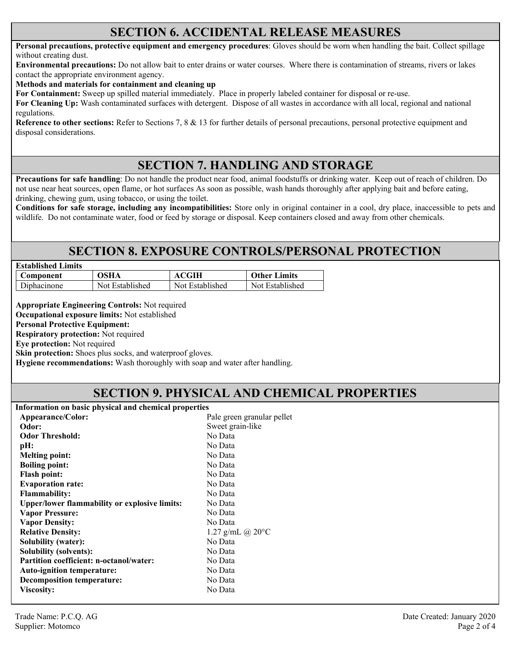#### **SECTION 6. ACCIDENTAL RELEASE MEASURES**

**Personal precautions, protective equipment and emergency procedures**: Gloves should be worn when handling the bait. Collect spillage without creating dust.

**Environmental precautions:** Do not allow bait to enter drains or water courses. Where there is contamination of streams, rivers or lakes contact the appropriate environment agency.

**Methods and materials for containment and cleaning up**

**For Containment:** Sweep up spilled material immediately. Place in properly labeled container for disposal or re-use.

**For Cleaning Up:** Wash contaminated surfaces with detergent. Dispose of all wastes in accordance with all local, regional and national regulations.

**Reference to other sections:** Refer to Sections 7, 8 & 13 for further details of personal precautions, personal protective equipment and disposal considerations.

### **SECTION 7. HANDLING AND STORAGE**

**Precautions for safe handling**: Do not handle the product near food, animal foodstuffs or drinking water. Keep out of reach of children. Do not use near heat sources, open flame, or hot surfaces As soon as possible, wash hands thoroughly after applying bait and before eating, drinking, chewing gum, using tobacco, or using the toilet.

**Conditions for safe storage, including any incompatibilities:** Store only in original container in a cool, dry place, inaccessible to pets and wildlife. Do not contaminate water, food or feed by storage or disposal. Keep containers closed and away from other chemicals.

### **SECTION 8. EXPOSURE CONTROLS/PERSONAL PROTECTION**

| <b>Established Limits</b> |                 |                 |                     |
|---------------------------|-----------------|-----------------|---------------------|
| Component                 | OSHA            | <b>ACGIH</b>    | <b>Other Limits</b> |
| Diphacinone               | Not Established | Not Established | Not Established     |

**Appropriate Engineering Controls:** Not required

**Occupational exposure limits:** Not established

**Personal Protective Equipment:** 

**Respiratory protection:** Not required

**Eye protection:** Not required

**Skin protection:** Shoes plus socks, and waterproof gloves.

**Hygiene recommendations:** Wash thoroughly with soap and water after handling.

#### **SECTION 9. PHYSICAL AND CHEMICAL PROPERTIES**

| Information on basic physical and chemical properties |                            |  |  |
|-------------------------------------------------------|----------------------------|--|--|
| Appearance/Color:                                     | Pale green granular pellet |  |  |
| Odor:                                                 | Sweet grain-like           |  |  |
| <b>Odor Threshold:</b>                                | No Data                    |  |  |
| pH:                                                   | No Data                    |  |  |
| <b>Melting point:</b>                                 | No Data                    |  |  |
| <b>Boiling point:</b>                                 | No Data                    |  |  |
| <b>Flash point:</b>                                   | No Data                    |  |  |
| <b>Evaporation rate:</b>                              | No Data                    |  |  |
| <b>Flammability:</b>                                  | No Data                    |  |  |
| <b>Upper/lower flammability or explosive limits:</b>  | No Data                    |  |  |
| <b>Vapor Pressure:</b>                                | No Data                    |  |  |
| <b>Vapor Density:</b>                                 | No Data                    |  |  |
| <b>Relative Density:</b>                              | 1.27 g/mL @ $20^{\circ}$ C |  |  |
| <b>Solubility (water):</b>                            | No Data                    |  |  |
| <b>Solubility (solvents):</b>                         | No Data                    |  |  |
| <b>Partition coefficient: n-octanol/water:</b>        | No Data                    |  |  |
| <b>Auto-ignition temperature:</b>                     | No Data                    |  |  |
| <b>Decomposition temperature:</b>                     | No Data                    |  |  |
| Viscosity:                                            | No Data                    |  |  |
|                                                       |                            |  |  |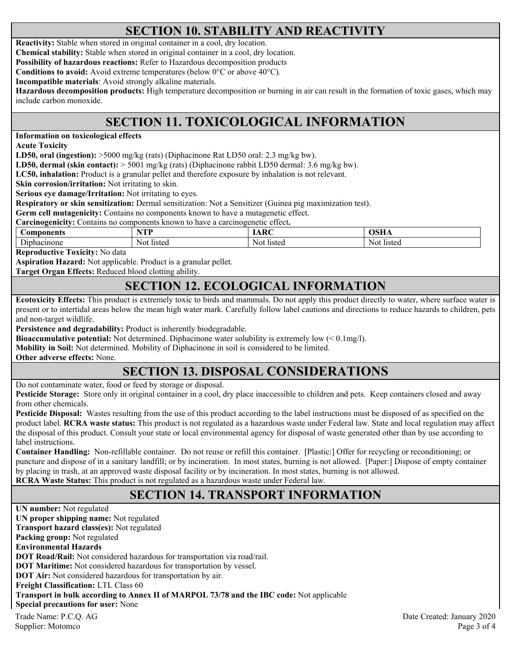### **SECTION 10. STABILITY AND REACTIVITY**

**Reactivity:** Stable when stored in original container in a cool, dry location.

**Chemical stability:** Stable when stored in original container in a cool, dry location.

**Possibility of hazardous reactions:** Refer to Hazardous decomposition products

**Conditions to avoid:** Avoid extreme temperatures (below 0°C or above 40°C).

**Incompatible materials**: Avoid strongly alkaline materials.

**Hazardous decomposition products:** High temperature decomposition or burning in air can result in the formation of toxic gases, which may include carbon monoxide.

# **SECTION 11. TOXICOLOGICAL INFORMATION**

**Information on toxicological effects** 

**Acute Toxicity** 

**LD50, oral (ingestion):** >5000 mg/kg (rats) (Diphacinone Rat LD50 oral: 2.3 mg/kg bw).

**LD50, dermal (skin contact):** > 5001 mg/kg (rats) (Diphacinone rabbit LD50 dermal: 3.6 mg/kg bw).

**LC50, inhalation:** Product is a granular pellet and therefore exposure by inhalation is not relevant.

**Skin corrosion/irritation:** Not irritating to skin.

**Serious eye damage/Irritation:** Not irritating to eyes.

**Respiratory or skin sensitization:** Dermal sensitization: Not a Sensitizer (Guinea pig maximization test).

**Germ cell mutagenicity:** Contains no components known to have a mutagenetic effect.

**Carcinogenicity:** Contains no components known to have a carcinogenetic effect**.** 

| Components                                                    | <b>ATTENT</b><br>m<br>. . | $\sqrt{2}$    | $\sim$ $\sim$ $\sim$ $\sim$<br>,,,,,, |
|---------------------------------------------------------------|---------------------------|---------------|---------------------------------------|
| $\overline{\phantom{a}}$<br>'none<br>.ohacir<br>$_{\rm D1}$ r | listed<br>Not             | Not<br>listed | listed<br>No <sup>†</sup>             |

**Reproductive Toxicity:** No data

**Aspiration Hazard:** Not applicable. Product is a granular pellet.

**Target Organ Effects:** Reduced blood clotting ability.

### **SECTION 12. ECOLOGICAL INFORMATION**

**Ecotoxicity Effects:** This product is extremely toxic to birds and mammals. Do not apply this product directly to water, where surface water is present or to intertidal areas below the mean high water mark. Carefully follow label cautions and directions to reduce hazards to children, pets and non-target wildlife.

**Persistence and degradability:** Product is inherently biodegradable.

**Bioaccumulative potential:** Not determined. Diphacinone water solubility is extremely low (< 0.1mg/l).

**Mobility in Soil:** Not determined. Mobility of Diphacinone in soil is considered to be limited.

**Other adverse effects:** None.

### **SECTION 13. DISPOSAL CONSIDERATIONS**

Do not contaminate water, food or feed by storage or disposal.

**Pesticide Storage:** Store only in original container in a cool, dry place inaccessible to children and pets. Keep containers closed and away from other chemicals.

**Pesticide Disposal:** Wastes resulting from the use of this product according to the label instructions must be disposed of as specified on the product label. **RCRA waste status:** This product is not regulated as a hazardous waste under Federal law. State and local regulation may affect the disposal of this product. Consult your state or local environmental agency for disposal of waste generated other than by use according to label instructions.

**Container Handling:** Non-refillable container. Do not reuse or refill this container. [Plastic:] Offer for recycling or reconditioning; or puncture and dispose of in a sanitary landfill; or by incineration. In most states, burning is not allowed. [Paper:] Dispose of empty container by placing in trash, at an approved waste disposal facility or by incineration. In most states, burning is not allowed. **RCRA Waste Status:** This product is not regulated as a hazardous waste under Federal law.

### **SECTION 14. TRANSPORT INFORMATION**

Trade Name: P.C.Q. AG Date Created: January 2020 Supplier: Motomco Page 3 of 4 **UN number:** Not regulated **UN proper shipping name:** Not regulated **Transport hazard class(es):** Not regulated **Packing group:** Not regulated **Environmental Hazards DOT Road/Rail:** Not considered hazardous for transportation via road/rail. **DOT Maritime:** Not considered hazardous for transportation by vessel. **DOT Air:** Not considered hazardous for transportation by air. **Freight Classification:** LTL Class 60 **Transport in bulk according to Annex II of MARPOL 73/78 and the IBC code:** Not applicable **Special precautions for user:** None